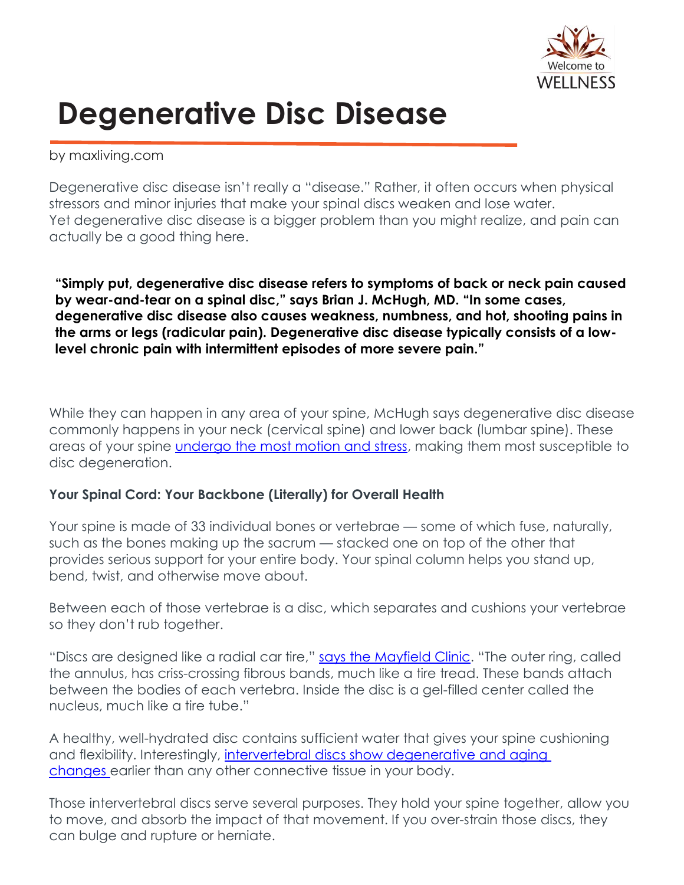

## **Degenerative Disc Disease**

by maxliving.com

Degenerative disc disease isn't really a "disease." Rather, it often occurs when physical stressors and minor injuries that make your spinal discs weaken and lose water. Yet degenerative disc disease is a bigger problem than you might realize, and pain can actually be a good thing here.

**"Simply put, degenerative disc disease refers to symptoms of back or neck pain caused by wear-and-tear on a spinal disc," says Brian J. McHugh, MD. "In some cases, degenerative disc disease also causes weakness, numbness, and hot, shooting pains in the arms or legs (radicular pain). Degenerative disc disease typically consists of a lowlevel chronic pain with intermittent episodes of more severe pain."**

While they can happen in any area of your spine, McHugh says degenerative disc disease commonly happens in your neck (cervical spine) and lower back (lumbar spine). These areas of your spine *[undergo](https://www.spine-health.com/conditions/degenerative-disc-disease/what-degenerative-disc-disease) the most motion and stress*, making them most susceptible to disc degeneration.

## **Your Spinal Cord: Your Backbone (Literally) for Overall Health**

Your spine is made of 33 individual bones or vertebrae — some of which fuse, naturally, such as the bones making up the sacrum — stacked one on top of the other that provides serious support for your entire body. Your spinal column helps you stand up, bend, twist, and otherwise move about.

Between each of those vertebrae is a disc, which separates and cushions your vertebrae so they don't rub together.

"Discs are designed like a radial car tire," says the [Mayfield](https://www.mayfieldclinic.com/PE-AnatSpine.htm) Clinic. "The outer ring, called the annulus, has criss-crossing fibrous bands, much like a tire tread. These bands attach between the bodies of each vertebra. Inside the disc is a gel-filled center called the nucleus, much like a tire tube."

A healthy, well-hydrated disc contains sufficient water that gives your spine cushioning and flexibility. Interestingly, intervertebral discs show [degenerative](https://www.ncbi.nlm.nih.gov/pmc/articles/PMC165040/) and aging [changes](https://www.ncbi.nlm.nih.gov/pmc/articles/PMC165040/) earlier than any other connective tissue in your body.

Those intervertebral discs serve several purposes. They hold your spine together, allow you to move, and absorb the impact of that movement. If you over-strain those discs, they can bulge and rupture or herniate.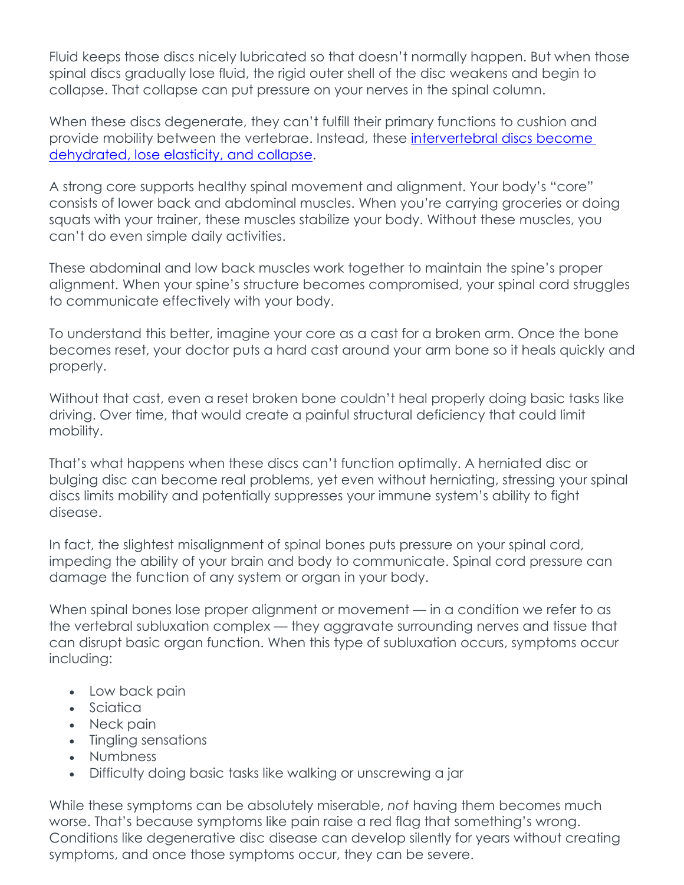Fluid keeps those discs nicely lubricated so that doesn't normally happen. But when those spinal discs gradually lose fluid, the rigid outer shell of the disc weakens and begin to collapse. That collapse can put pressure on your nerves in the spinal column.

When these discs degenerate, they can't fulfill their primary functions to cushion and provide mobility between the vertebrae. Instead, these [intervertebral](https://www.physio-pedia.com/Degenerative_Disc_Disease) discs become [dehydrated,](https://www.physio-pedia.com/Degenerative_Disc_Disease) lose elasticity, and collapse.

A strong core supports healthy spinal movement and alignment. Your body's "core" consists of lower back and abdominal muscles. When you're carrying groceries or doing squats with your trainer, these muscles stabilize your body. Without these muscles, you can't do even simple daily activities.

These abdominal and low back muscles work together to maintain the spine's proper alignment. When your spine's structure becomes compromised, your spinal cord struggles to communicate effectively with your body.

To understand this better, imagine your core as a cast for a broken arm. Once the bone becomes reset, your doctor puts a hard cast around your arm bone so it heals quickly and properly.

Without that cast, even a reset broken bone couldn't heal properly doing basic tasks like driving. Over time, that would create a painful structural deficiency that could limit mobility.

That's what happens when these discs can't function optimally. A herniated disc or bulging disc can become real problems, yet even without herniating, stressing your spinal discs limits mobility and potentially suppresses your immune system's ability to fight disease.

In fact, the slightest misalignment of spinal bones puts pressure on your spinal cord, impeding the ability of your brain and body to communicate. Spinal cord pressure can damage the function of any system or organ in your body.

When spinal bones lose proper alignment or movement — in a condition we refer to as the vertebral subluxation complex — they aggravate surrounding nerves and tissue that can disrupt basic organ function. When this type of subluxation occurs, symptoms occur including:

- Low back pain
- Sciatica
- Neck pain
- Tingling sensations
- Numbness
- Difficulty doing basic tasks like walking or unscrewing a jar

While these symptoms can be absolutely miserable, *not* having them becomes much worse. That's because symptoms like pain raise a red flag that something's wrong. Conditions like degenerative disc disease can develop silently for years without creating symptoms, and once those symptoms occur, they can be severe.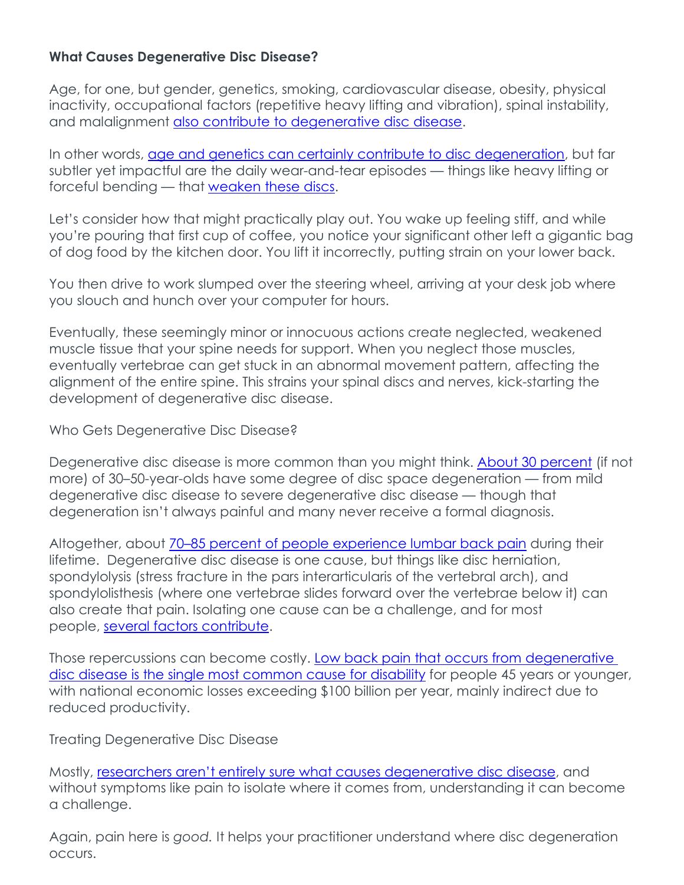## **What Causes Degenerative Disc Disease?**

Age, for one, but gender, genetics, smoking, cardiovascular disease, obesity, physical inactivity, occupational factors (repetitive heavy lifting and vibration), spinal instability, and malalignment also contribute to [degenerative](https://www.ncbi.nlm.nih.gov/pmc/articles/PMC4995268/) disc disease.

In other words, age and genetics can certainly contribute to disc [degeneration,](https://www.ncbi.nlm.nih.gov/pmc/articles/PMC3335178/) but far subtler yet impactful are the daily wear-and-tear episodes — things like heavy lifting or forceful bending — that [weaken](https://www.ncbi.nlm.nih.gov/books/NBK448134/) these discs.

Let's consider how that might practically play out. You wake up feeling stiff, and while you're pouring that first cup of coffee, you notice your significant other left a gigantic bag of dog food by the kitchen door. You lift it incorrectly, putting strain on your lower back.

You then drive to work slumped over the steering wheel, arriving at your desk job where you slouch and hunch over your computer for hours.

Eventually, these seemingly minor or innocuous actions create neglected, weakened muscle tissue that your spine needs for support. When you neglect those muscles, eventually vertebrae can get stuck in an abnormal movement pattern, affecting the alignment of the entire spine. This strains your spinal discs and nerves, kick-starting the development of degenerative disc disease.

Who Gets Degenerative Disc Disease?

Degenerative disc disease is more common than you might think. About 30 [percent](https://www.physio-pedia.com/Degenerative_Disc_Disease) (if not more) of 30–50-year-olds have some degree of disc space degeneration — from mild degenerative disc disease to severe degenerative disc disease — though that degeneration isn't always painful and many never receive a formal diagnosis.

Altogether, about 70–85 percent of people [experience](https://www.ncbi.nlm.nih.gov/pubmed/11725230) lumbar back pain during their lifetime. Degenerative disc disease is one cause, but things like disc herniation, spondylolysis (stress fracture in the pars interarticularis of the vertebral arch), and spondylolisthesis (where one vertebrae slides forward over the vertebrae below it) can also create that pain. Isolating one cause can be a challenge, and for most people, several factors [contribute.](https://www.ncbi.nlm.nih.gov/pmc/articles/PMC4995268/)

Those repercussions can become costly. Low back pain that occurs from [degenerative](https://www.ncbi.nlm.nih.gov/pmc/articles/PMC3335178/) disc disease is the single most [common](https://www.ncbi.nlm.nih.gov/pmc/articles/PMC3335178/) cause for disability for people 45 years or younger, with national economic losses exceeding \$100 billion per year, mainly indirect due to reduced productivity.

Treating Degenerative Disc Disease

Mostly, researchers aren't entirely sure what causes [degenerative](https://www.ncbi.nlm.nih.gov/books/NBK448134/) disc disease, and without symptoms like pain to isolate where it comes from, understanding it can become a challenge.

Again, pain here is *good.* It helps your practitioner understand where disc degeneration occurs.